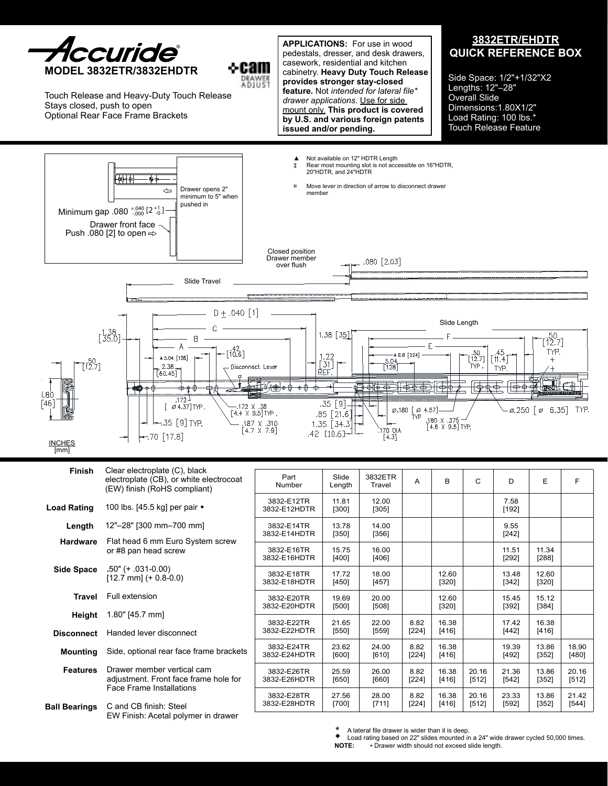

Touch Release and Heavy-Duty Touch Release Stays closed, push to open Optional Rear Face Frame Brackets

**APPLICATIONS:** For use in wood pedestals, dresser, and desk drawers, casework, residential and kitchen cabinetry. **Heavy Duty Touch Release provides stronger stay-closed feature.** Not *intended for lateral file\* drawer applications*. Use for side mount only. **This product is covered by U.S. and various foreign patents issued and/or pending.** 

⊹cam DRAWER<br>A DJUST

## **3832ETR/EHDTR QUICK REFERENCE BOX**

Side Space: 1/2"+1/32"X2 Lengths: 12"–28" Overall Slide Dimensions:1.80X1/2" Load Rating: 100 lbs.\* Touch Release Feature



| Finish               | Clear electroplate (C), black<br>electroplate (CB), or white electrocoat<br>(EW) finish (RoHS compliant) | Part<br>Number             | Slide<br>Length  | 3832ETR<br>Travel | A               | B                | C              | D                | E                | F                |
|----------------------|----------------------------------------------------------------------------------------------------------|----------------------------|------------------|-------------------|-----------------|------------------|----------------|------------------|------------------|------------------|
| <b>Load Rating</b>   | 100 lbs. [45.5 kg] per pair ◆                                                                            | 3832-E12TR<br>3832-E12HDTR | 11.81<br>[300]   | 12.00<br>[305]    |                 |                  |                | 7.58<br>[192]    |                  |                  |
| Length               | 12"-28" [300 mm-700 mm]                                                                                  | 3832-E14TR<br>3832-E14HDTR | 13.78<br>[350]   | 14.00<br>[356]    |                 |                  |                | 9.55<br>$[242]$  |                  |                  |
| <b>Hardware</b>      | Flat head 6 mm Euro System screw<br>or #8 pan head screw                                                 | 3832-E16TR<br>3832-E16HDTR | 15.75<br>$[400]$ | 16.00<br>[406]    |                 |                  |                | 11.51<br>$[292]$ | 11.34<br>$[288]$ |                  |
| Side Space           | .50" (+ .031-0.00)<br>$[12.7$ mm] $(+ 0.8 - 0.0)$                                                        | 3832-E18TR<br>3832-E18HDTR | 17.72<br>$[450]$ | 18.00<br>[457]    |                 | 12.60<br>$[320]$ |                | 13.48<br>$[342]$ | 12.60<br>$[320]$ |                  |
| Travel               | Full extension                                                                                           | 3832-E20TR<br>3832-E20HDTR | 19.69<br>$[500]$ | 20.00<br>[508]    |                 | 12.60<br>$[320]$ |                | 15.45<br>[392]   | 15.12<br>$[384]$ |                  |
| Height               | 1.80" [45.7 mm]                                                                                          | 3832-E22TR                 | 21.65            | 22.00             | 8.82            | 16.38            |                | 17.42            | 16.38            |                  |
| <b>Disconnect</b>    | Handed lever disconnect                                                                                  | 3832-E22HDTR               | [550]            | [559]             | $[224]$         | [416]            |                | $[442]$          | [416]            |                  |
| <b>Mounting</b>      | Side, optional rear face frame brackets                                                                  | 3832-E24TR<br>3832-E24HDTR | 23.62<br>[600]   | 24.00<br>[610]    | 8.82<br>$[224]$ | 16.38<br>[416]   |                | 19.39<br>[492]   | 13.86<br>[352]   | 18.90<br>[480]   |
| <b>Features</b>      | Drawer member vertical cam<br>adjustment. Front face frame hole for                                      | 3832-E26TR<br>3832-E26HDTR | 25.59<br>[650]   | 26.00<br>[660]    | 8.82<br>[224]   | 16.38<br>[416]   | 20.16<br>[512] | 21.36<br>[542]   | 13.86<br>[352]   | 20.16<br>$[512]$ |
| <b>Ball Bearings</b> | Face Frame Installations<br>C and CB finish: Steel<br>EW Finish: Acetal polymer in drawer                | 3832-E28TR<br>3832-E28HDTR | 27.56<br>$[700]$ | 28.00<br>[711]    | 8.82<br>[224]   | 16.38<br>[416]   | 20.16<br>[512] | 23.33<br>[592]   | 13.86<br>[352]   | 21.42<br>$[544]$ |
|                      |                                                                                                          |                            |                  |                   |                 |                  |                |                  |                  |                  |

 A lateral file drawer is wider than it is deep.

 $\bullet$  Load rating based on 22" slides mounted in a 24" wide drawer cycled 50,000 times.<br>NOTE: Figure width should not exceed slide length. **• Drawer width should not exceed slide length.** \*